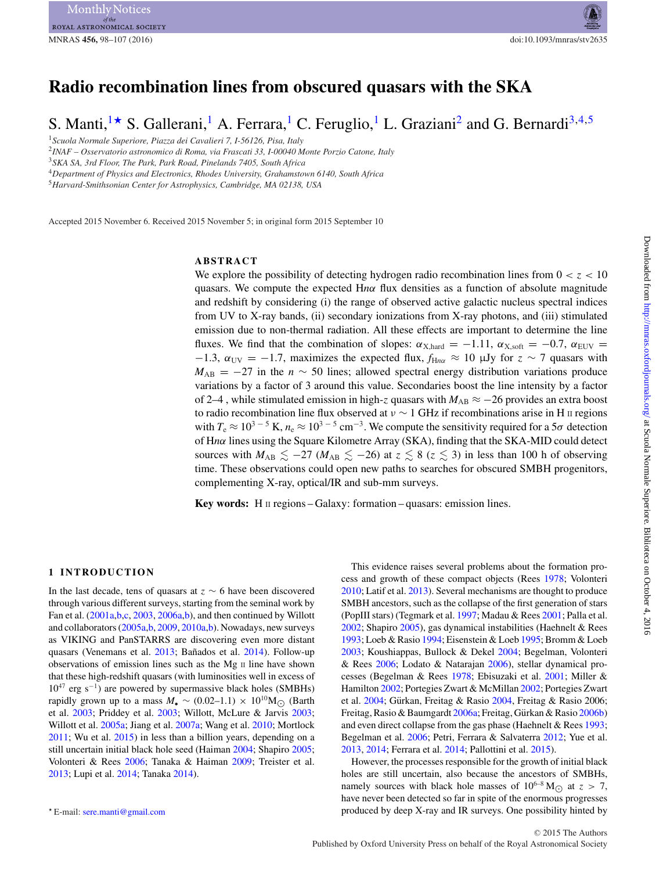# MNRAS **456,** 98–107 (2016) doi:10.1093/mnras/stv2635

# **Radio recombination lines from obscured quasars with the SKA**

S. Manti,<sup>[1](#page-0-0)\*</sup> S. Gallerani,<sup>1</sup> A. Ferrara,<sup>1</sup> C. Feruglio,<sup>1</sup> L. Graziani<sup>2</sup> and G. Bernardi<sup>3,[4,](#page-0-4)[5](#page-0-5)</sup>

<span id="page-0-0"></span><sup>1</sup>*Scuola Normale Superiore, Piazza dei Cavalieri 7, I-56126, Pisa, Italy*

<span id="page-0-2"></span><sup>2</sup>*INAF – Osservatorio astronomico di Roma, via Frascati 33, I-00040 Monte Porzio Catone, Italy*

<span id="page-0-3"></span><sup>3</sup>*SKA SA, 3rd Floor, The Park, Park Road, Pinelands 7405, South Africa*

<span id="page-0-4"></span><sup>4</sup>*Department of Physics and Electronics, Rhodes University, Grahamstown 6140, South Africa*

<span id="page-0-5"></span><sup>5</sup>*Harvard-Smithsonian Center for Astrophysics, Cambridge, MA 02138, USA*

Accepted 2015 November 6. Received 2015 November 5; in original form 2015 September 10

# **ABSTRACT**

We explore the possibility of detecting hydrogen radio recombination lines from  $0 < z < 10$ quasars. We compute the expected  $Hn\alpha$  flux densities as a function of absolute magnitude and redshift by considering (i) the range of observed active galactic nucleus spectral indices from UV to X-ray bands, (ii) secondary ionizations from X-ray photons, and (iii) stimulated emission due to non-thermal radiation. All these effects are important to determine the line fluxes. We find that the combination of slopes:  $\alpha_{X, \text{hard}} = -1.11$ ,  $\alpha_{X, \text{soft}} = -0.7$ ,  $\alpha_{\text{EUV}} =$  $-1.3$ ,  $\alpha_{UV} = -1.7$ , maximizes the expected flux,  $f_{Hn\alpha} \approx 10$  µJy for  $z \sim 7$  quasars with  $M_{AB} = -27$  in the *n* ~ 50 lines; allowed spectral energy distribution variations produce variations by a factor of 3 around this value. Secondaries boost the line intensity by a factor of 2–4, while stimulated emission in high-*z* quasars with  $M_{AB} \approx -26$  provides an extra boost to radio recombination line flux observed at *<sup>ν</sup>* <sup>∼</sup> 1 GHz if recombinations arise in H II regions with  $T_e \approx 10^{3}$  <sup>- 5</sup> K,  $n_e \approx 10^{3}$  <sup>- 5</sup> cm<sup>-3</sup>. We compute the sensitivity required for a 5*σ* detection of H*nα* lines using the Square Kilometre Array (SKA), finding that the SKA-MID could detect sources with  $M_{AB} \le -27$  ( $M_{AB} \le -26$ ) at  $z \le 8$  ( $z \le 3$ ) in less than 100 h of observing time. These observations could open new paths to searches for obscured SMBH progenitors, complementing X-ray, optical/IR and sub-mm surveys.

**Key words:** H  $\text{II}$  regions – Galaxy: formation – quasars: emission lines.

#### **1 INTRODUCTION**

In the last decade, tens of quasars at *<sup>z</sup>* <sup>∼</sup> 6 have been discovered through various different surveys, starting from the seminal work by Fan et al. [\(2001a,](#page-8-0)[b,](#page-8-1)[c,](#page-8-2) [2003,](#page-8-3) [2006a,](#page-8-4)[b\)](#page-8-5), and then continued by Willott and collaborators [\(2005a](#page-9-0)[,b,](#page-9-1) [2009,](#page-9-2) [2010a](#page-9-3)[,b\)](#page-9-4). Nowadays, new surveys as VIKING and PanSTARRS are discovering even more distant quasars (Venemans et al. [2013;](#page-9-5) Bañados et al. [2014\)](#page-8-6). Follow-up observations of emission lines such as the Mg II line have shown that these high-redshift quasars (with luminosities well in excess of  $10^{47}$  erg s<sup>-1</sup>) are powered by supermassive black holes (SMBHs) rapidly grown up to a mass  $M_{\bullet} \sim (0.02-1.1) \times 10^{10} M_{\odot}$  (Barth et al. [2003;](#page-8-7) Priddey et al. [2003;](#page-8-8) Willott, McLure & Jarvis [2003;](#page-9-6) Willott et al. [2005a;](#page-9-0) Jiang et al. [2007a;](#page-8-9) Wang et al. [2010;](#page-9-7) Mortlock [2011;](#page-8-10) Wu et al. [2015\)](#page-9-8) in less than a billion years, depending on a still uncertain initial black hole seed (Haiman [2004;](#page-8-11) Shapiro [2005;](#page-9-9) Volonteri & Rees [2006;](#page-9-10) Tanaka & Haiman [2009;](#page-9-11) Treister et al. [2013;](#page-9-12) Lupi et al. [2014;](#page-8-12) Tanaka [2014\)](#page-9-13).

This evidence raises several problems about the formation process and growth of these compact objects (Rees [1978;](#page-8-13) Volonteri [2010;](#page-9-14) Latif et al. [2013\)](#page-8-14). Several mechanisms are thought to produce SMBH ancestors, such as the collapse of the first generation of stars (PopIII stars) (Tegmark et al. [1997;](#page-9-15) Madau & Rees [2001;](#page-8-15) Palla et al. [2002;](#page-8-16) Shapiro [2005\)](#page-9-9), gas dynamical instabilities (Haehnelt & Rees [1993;](#page-8-17) Loeb & Rasio [1994;](#page-8-18) Eisenstein & Loeb [1995;](#page-8-19) Bromm & Loeb [2003;](#page-8-20) Koushiappas, Bullock & Dekel [2004;](#page-8-21) Begelman, Volonteri & Rees [2006;](#page-8-22) Lodato & Natarajan [2006\)](#page-8-23), stellar dynamical processes (Begelman & Rees [1978;](#page-8-24) Ebisuzaki et al. [2001;](#page-8-25) Miller & Hamilton [2002;](#page-8-26) Portegies Zwart & McMillan [2002;](#page-8-27) Portegies Zwart et al. [2004;](#page-8-28) Gürkan, Freitag & Rasio [2004,](#page-8-29) Freitag & Rasio 2006; Freitag, Rasio & Baumgardt [2006a;](#page-8-30) Freitag, Gürkan & Rasio [2006b\)](#page-8-31) and even direct collapse from the gas phase (Haehnelt & Rees [1993;](#page-8-17) Begelman et al. [2006;](#page-8-22) Petri, Ferrara & Salvaterra [2012;](#page-8-32) Yue et al. [2013,](#page-9-16) [2014;](#page-9-17) Ferrara et al. [2014;](#page-8-33) Pallottini et al. [2015\)](#page-8-34).

However, the processes responsible for the growth of initial black holes are still uncertain, also because the ancestors of SMBHs, namely sources with black hole masses of  $10^{6-8}$  M<sub>( $\odot$ </sub> at  $z > 7$ , have never been detected so far in spite of the enormous progresses produced by deep X-ray and IR surveys. One possibility hinted by

<span id="page-0-1"></span>E-mail: [sere.manti@gmail.com](mailto:sere.manti@gmail.com)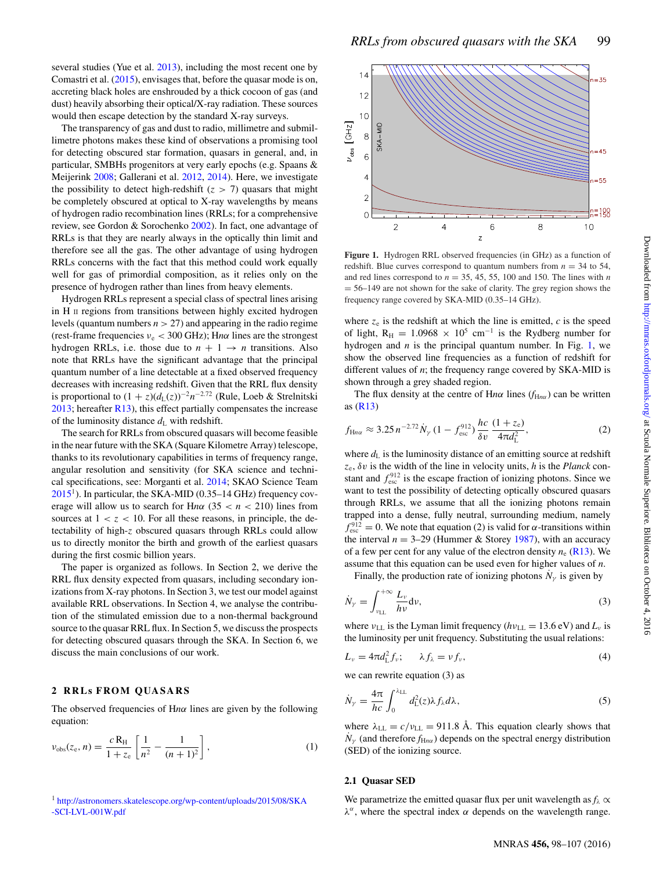several studies (Yue et al. [2013\)](#page-9-16), including the most recent one by Comastri et al. [\(2015\)](#page-8-35), envisages that, before the quasar mode is on, accreting black holes are enshrouded by a thick cocoon of gas (and dust) heavily absorbing their optical/X-ray radiation. These sources would then escape detection by the standard X-ray surveys.

The transparency of gas and dust to radio, millimetre and submillimetre photons makes these kind of observations a promising tool for detecting obscured star formation, quasars in general, and, in particular, SMBHs progenitors at very early epochs (e.g. Spaans & Meijerink [2008;](#page-9-18) Gallerani et al. [2012,](#page-8-36) [2014\)](#page-8-37). Here, we investigate the possibility to detect high-redshift  $(z > 7)$  quasars that might be completely obscured at optical to X-ray wavelengths by means of hydrogen radio recombination lines (RRLs; for a comprehensive review, see Gordon & Sorochenko [2002\)](#page-8-38). In fact, one advantage of RRLs is that they are nearly always in the optically thin limit and therefore see all the gas. The other advantage of using hydrogen RRLs concerns with the fact that this method could work equally well for gas of primordial composition, as it relies only on the presence of hydrogen rather than lines from heavy elements.

Hydrogen RRLs represent a special class of spectral lines arising in H II regions from transitions between highly excited hydrogen levels (quantum numbers *n >* 27) and appearing in the radio regime (rest-frame frequencies  $v_e$  < 300 GHz); Hn $\alpha$  lines are the strongest hydrogen RRLs, i.e. those due to  $n + 1 \rightarrow n$  transitions. Also note that RRLs have the significant advantage that the principal quantum number of a line detectable at a fixed observed frequency decreases with increasing redshift. Given that the RRL flux density is proportional to  $(1 + z)(d_L(z))^{-2}n^{-2.72}$  (Rule, Loeb & Strelnitski  $2013$ ; hereafter [R13\)](#page-9-19), this effect partially compensates the increase of the luminosity distance  $d_{\text{L}}$  with redshift.

The search for RRLs from obscured quasars will become feasible in the near future with the SKA (Square Kilometre Array) telescope, thanks to its revolutionary capabilities in terms of frequency range, angular resolution and sensitivity (for SKA science and technical specifications, see: Morganti et al. [2014;](#page-8-39) SKAO Science Team  $2015<sup>1</sup>$ ). In particular, the SKA-MID (0.35–14 GHz) frequency coverage will allow us to search for Hn $\alpha$  (35 <  $n$  < 210) lines from sources at  $1 < z < 10$ . For all these reasons, in principle, the detectability of high-*z* obscured quasars through RRLs could allow us to directly monitor the birth and growth of the earliest quasars during the first cosmic billion years.

The paper is organized as follows. In Section 2, we derive the RRL flux density expected from quasars, including secondary ionizations from X-ray photons. In Section 3, we test our model against available RRL observations. In Section 4, we analyse the contribution of the stimulated emission due to a non-thermal background source to the quasar RRL flux. In Section 5, we discuss the prospects for detecting obscured quasars through the SKA. In Section 6, we discuss the main conclusions of our work.

### **2 RRLs FROM QUASARS**

The observed frequencies of H*nα* lines are given by the following equation:

$$
\nu_{\rm obs}(z_{\rm e}, n) = \frac{c \, \mathcal{R}_{\rm H}}{1 + z_{\rm e}} \left[ \frac{1}{n^2} - \frac{1}{(n+1)^2} \right],\tag{1}
$$

<sup>1</sup> [http://astronomers.skatelescope.org/wp-content/uploads/2015/08/SKA](http://astronomers.skatelescope.org/wp-content/uploads/2015/08/SKA-SCI-LVL-001W.pdf) [-SCI-LVL-001W.pdf](http://astronomers.skatelescope.org/wp-content/uploads/2015/08/SKA-SCI-LVL-001W.pdf)

<span id="page-1-0"></span>

**Figure 1.** Hydrogen RRL observed frequencies (in GHz) as a function of redshift. Blue curves correspond to quantum numbers from  $n = 34$  to 54, and red lines correspond to  $n = 35, 45, 55, 100$  and 150. The lines with  $n$  $= 56-149$  are not shown for the sake of clarity. The grey region shows the frequency range covered by SKA-MID (0.35–14 GHz).

where  $z_e$  is the redshift at which the line is emitted,  $c$  is the speed of light, R<sub>H</sub> = 1.0968 × 10<sup>5</sup> cm<sup>-1</sup> is the Rydberg number for hydrogen and  $n$  is the principal quantum number. In Fig. [1,](#page-1-0) we show the observed line frequencies as a function of redshift for different values of *n*; the frequency range covered by SKA-MID is shown through a grey shaded region.

The flux density at the centre of Hn $\alpha$  lines ( $f_{Hn\alpha}$ ) can be written as [\(R13\)](#page-9-19)

$$
f_{\text{H}n\alpha} \approx 3.25 n^{-2.72} \dot{N}_{\gamma} (1 - f_{\text{esc}}^{912}) \frac{hc}{\delta v} \frac{(1 + z_{\text{e}})}{4\pi d_{\text{L}}^2},
$$
 (2)

where  $d_{\text{L}}$  is the luminosity distance of an emitting source at redshift *z*e, *δv* is the width of the line in velocity units, *h* is the *Planck* constant and  $f_{\text{esc}}^{912}$  is the escape fraction of ionizing photons. Since we want to test the possibility of detecting optically obscured quasars through RRLs, we assume that all the ionizing photons remain trapped into a dense, fully neutral, surrounding medium, namely  $f_{\text{esc}}^{912} = 0$ . We note that equation (2) is valid for *α*-transitions within the interval  $n = 3-29$  (Hummer & Storey [1987\)](#page-8-40), with an accuracy of a few per cent for any value of the electron density  $n_e$  [\(R13\)](#page-9-19). We assume that this equation can be used even for higher values of *n*.

Finally, the production rate of ionizing photons  $N_{\gamma}$  is given by

$$
\dot{N}_{\gamma} = \int_{\nu_{\rm LL}}^{+\infty} \frac{L_{\nu}}{h\nu} \mathrm{d}\nu,\tag{3}
$$

where  $v_{LL}$  is the Lyman limit frequency ( $hv_{LL} = 13.6$  eV) and  $L_v$  is the luminosity per unit frequency. Substituting the usual relations:

$$
L_{\nu} = 4\pi d_{\rm L}^2 f_{\nu}; \qquad \lambda f_{\lambda} = \nu f_{\nu}, \tag{4}
$$

we can rewrite equation (3) as

$$
\dot{N}_{\gamma} = \frac{4\pi}{hc} \int_0^{\lambda_{\rm LL}} d_{\rm L}^2(z) \lambda f_{\lambda} d\lambda, \tag{5}
$$

where  $\lambda_{\text{LL}} = c/v_{\text{LL}} = 911.8 \text{ Å}$ . This equation clearly shows that  $N_{\gamma}$  (and therefore  $f_{Hn\alpha}$ ) depends on the spectral energy distribution (SED) of the ionizing source.

# **2.1 Quasar SED**

We parametrize the emitted quasar flux per unit wavelength as  $f_\lambda \propto$ *λα*, where the spectral index *α* depends on the wavelength range.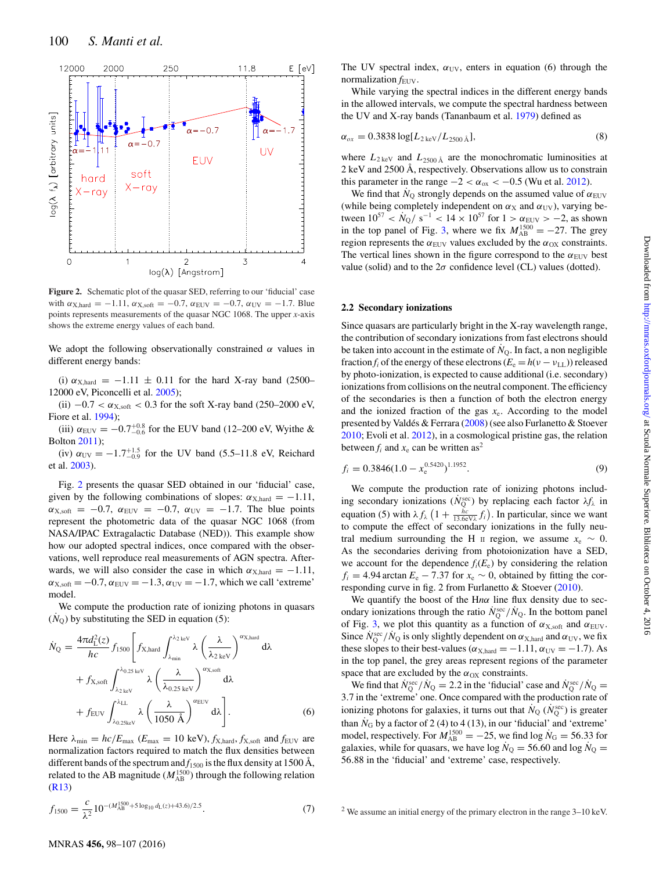<span id="page-2-0"></span>

**Figure 2.** Schematic plot of the quasar SED, referring to our 'fiducial' case with  $\alpha_{X, \text{hard}} = -1.11$ ,  $\alpha_{X, \text{soft}} = -0.7$ ,  $\alpha_{\text{EUV}} = -0.7$ ,  $\alpha_{\text{UV}} = -1.7$ . Blue points represents measurements of the quasar NGC 1068. The upper *x*-axis shows the extreme energy values of each band.

We adopt the following observationally constrained  $\alpha$  values in different energy bands:

(i)  $\alpha_{X, \text{hard}} = -1.11 \pm 0.11$  for the hard X-ray band (2500– 12000 eV, Piconcelli et al. [2005\)](#page-8-41);

(ii)  $-0.7 < \alpha_{X, \text{soft}} < 0.3$  for the soft X-ray band (250–2000 eV, Fiore et al. [1994\)](#page-8-42);

 $\mu$ (iii)  $\alpha_{\text{EUV}} = -0.7^{+0.8}_{-0.6}$  for the EUV band (12–200 eV, Wyithe & Bolton [2011\)](#page-9-21);

 $f_{\text{UV}} = -1.7^{+1.5}_{-0.9}$  for the UV band (5.5–11.8 eV, Reichard et al. [2003\)](#page-8-43).

Fig. [2](#page-2-0) presents the quasar SED obtained in our 'fiducial' case, given by the following combinations of slopes:  $\alpha_{X, \text{hard}} = -1.11$ ,  $\alpha_{X,\text{soft}} = -0.7$ ,  $\alpha_{\text{EUV}} = -0.7$ ,  $\alpha_{\text{UV}} = -1.7$ . The blue points represent the photometric data of the quasar NGC 1068 (from NASA/IPAC Extragalactic Database (NED)). This example show how our adopted spectral indices, once compared with the observations, well reproduce real measurements of AGN spectra. Afterwards, we will also consider the case in which  $\alpha_{X, \text{hard}} = -1.11$ ,  $\alpha_{X,\text{soft}} = -0.7, \alpha_{\text{EUV}} = -1.3, \alpha_{\text{UV}} = -1.7$ , which we call 'extreme' model.

We compute the production rate of ionizing photons in quasars  $(N<sub>O</sub>)$  by substituting the SED in equation (5):

$$
\dot{N}_{Q} = \frac{4\pi d_{L}^{2}(z)}{hc} f_{1500} \left[ f_{X,\text{hard}} \int_{\lambda_{\text{min}}}^{\lambda_{2\text{ keV}}} \lambda \left( \frac{\lambda}{\lambda_{2\text{ keV}}} \right)^{\alpha_{X,\text{hard}}} d\lambda + f_{X,\text{soft}} \int_{\lambda_{2\text{ keV}}}^{\lambda_{0,25\text{ keV}}} \lambda \left( \frac{\lambda}{\lambda_{0.25\text{ keV}}} \right)^{\alpha_{X,\text{soft}}} d\lambda + f_{\text{EUV}} \int_{\lambda_{0,25\text{ keV}}}^{\lambda_{\text{LL}}} \lambda \left( \frac{\lambda}{1050 \text{ Å}} \right)^{\alpha_{\text{EUV}}} d\lambda \right].
$$
\n(6)

Here  $\lambda_{\min} = hc/E_{\max}$  ( $E_{\max} = 10 \text{ keV}$ ),  $f_{X,\text{hard}}$ ,  $f_{X,\text{soft}}$  and  $f_{\text{EUV}}$  are normalization factors required to match the flux densities between different bands of the spectrum and  $f_{1500}$  is the flux density at 1500 Å, related to the AB magnitude  $(M_{AB}^{1500})$  through the following relation [\(R13\)](#page-9-19)

$$
f_{1500} = \frac{c}{\lambda^2} 10^{-(M_{\rm AB}^{1500} + 5 \log_{10} d_{\rm L}(z) + 43.6)/2.5}.
$$
 (7)

The UV spectral index,  $\alpha_{UV}$ , enters in equation (6) through the normalization  $f_{\text{EUV}}$ .

While varying the spectral indices in the different energy bands in the allowed intervals, we compute the spectral hardness between the UV and X-ray bands (Tananbaum et al. [1979\)](#page-9-22) defined as

$$
\alpha_{ox} = 0.3838 \log[L_{2\,\text{keV}}/L_{2500\,\text{\AA}}],\tag{8}
$$

where  $L_{2 \text{ keV}}$  and  $L_{2500 \text{ Å}}$  are the monochromatic luminosities at 2 keV and 2500 Å, respectively. Observations allow us to constrain this parameter in the range  $-2 < \alpha_{ox} < -0.5$  (Wu et al. [2012\)](#page-9-23).

We find that  $N_{\rm O}$  strongly depends on the assumed value of  $\alpha_{\rm EUV}$ (while being completely independent on  $\alpha_X$  and  $\alpha_{UV}$ ), varying between  $10^{57} < \dot{N}_0 / s^{-1} < 14 \times 10^{57}$  for  $1 > \alpha_{\text{EUV}} > -2$ , as shown in the top panel of Fig. [3,](#page-3-0) where we fix  $M_{AB}^{1500} = -27$ . The grey region represents the  $\alpha_{\text{EUV}}$  values excluded by the  $\alpha_{\text{OX}}$  constraints. The vertical lines shown in the figure correspond to the  $\alpha_{\text{EUV}}$  best value (solid) and to the  $2\sigma$  confidence level (CL) values (dotted).

#### **2.2 Secondary ionizations**

Since quasars are particularly bright in the X-ray wavelength range, the contribution of secondary ionizations from fast electrons should be taken into account in the estimate of  $N<sub>O</sub>$ . In fact, a non negligible fraction  $f_i$  of the energy of these electrons  $(E_e = h(\nu - \nu_{LL}))$  released by photo-ionization, is expected to cause additional (i.e. secondary) ionizations from collisions on the neutral component. The efficiency of the secondaries is then a function of both the electron energy and the ionized fraction of the gas  $x_e$ . According to the model presented by Valdés & Ferrara  $(2008)$  $(2008)$  (see also Furlanetto & Stoever [2010;](#page-8-44) Evoli et al. [2012\)](#page-8-45), in a cosmological pristine gas, the relation between  $f_i$  and  $x_e$  can be written as<sup>2</sup>

$$
f_i = 0.3846(1.0 - x_e^{0.5420})^{1.1952}.
$$
\n(9)

We compute the production rate of ionizing photons including secondary ionizations ( $\dot{N}_{\rm Q}^{\rm sec}$ ) by replacing each factor  $\lambda f_\lambda$  in equation (5) with  $\lambda f_{\lambda} \left( 1 + \frac{hc}{13.6eV_{\lambda}} f_{i} \right)$ . In particular, since we want to compute the effect of secondary ionizations in the fully neutral medium surrounding the H  $\text{II}$  region, we assume  $x_e \sim 0$ . As the secondaries deriving from photoionization have a SED, we account for the dependence  $f_i(E_e)$  by considering the relation  $f_i = 4.94$  arctan  $E_e - 7.37$  for  $x_e \sim 0$ , obtained by fitting the corresponding curve in fig. 2 from Furlanetto & Stoever [\(2010\)](#page-8-44).

We quantify the boost of the H*nα* line flux density due to secondary ionizations through the ratio  $N_Q^{\text{sec}}/N_Q$ . In the bottom panel of Fig. [3,](#page-3-0) we plot this quantity as a function of  $\alpha_{X,\text{soft}}$  and  $\alpha_{\text{EUV}}$ . Since  $N_Q^{\text{sec}}/N_Q$  is only slightly dependent on  $\alpha_{X, \text{hard}}$  and  $\alpha_{UV}$ , we fix these slopes to their best-values ( $\alpha_{X, \text{hard}} = -1.11$ ,  $\alpha_{UV} = -1.7$ ). As in the top panel, the grey areas represent regions of the parameter space that are excluded by the  $\alpha_{OX}$  constraints.

We find that  $\dot{N}_Q^{\text{sec}} / N_Q = 2.2$  in the 'fiducial' case and  $\dot{N}_Q^{\text{sec}} / N_Q =$ 3*.*7 in the 'extreme' one. Once compared with the production rate of ionizing photons for galaxies, it turns out that  $N_Q$  ( $N_Q^{\text{sec}}$ ) is greater than  $N_G$  by a factor of 2 (4) to 4 (13), in our 'fiducial' and 'extreme' model, respectively. For  $M_{AB}^{1500} = -25$ , we find log  $N_G = 56.33$  for galaxies, while for quasars, we have  $log N_Q = 56.60$  and  $log N_Q =$ 56*.*88 in the 'fiducial' and 'extreme' case, respectively.

<sup>&</sup>lt;sup>2</sup> We assume an initial energy of the primary electron in the range 3–10 keV.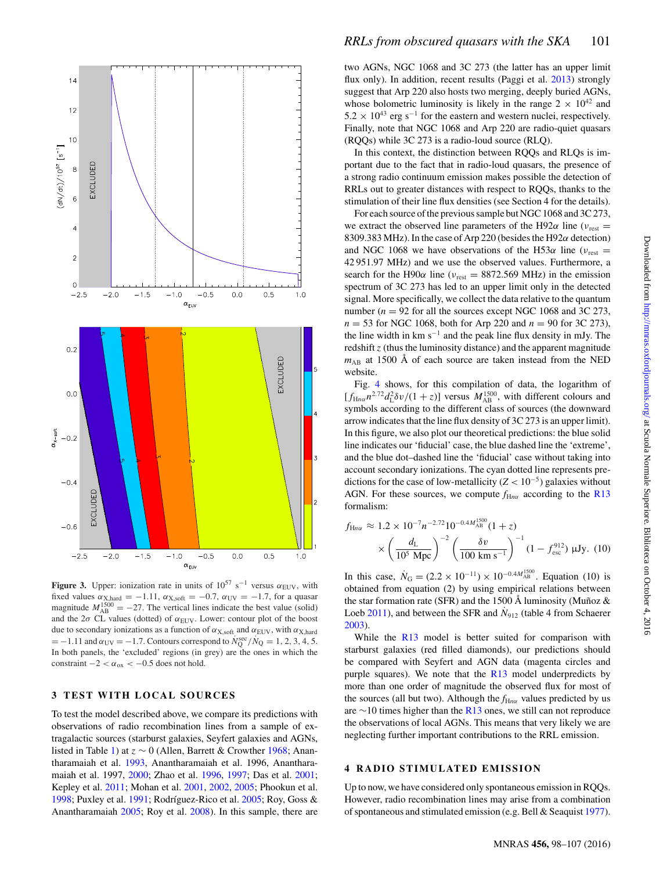<span id="page-3-0"></span>

**Figure 3.** Upper: ionization rate in units of  $10^{57}$  s<sup>-1</sup> versus  $\alpha_{\text{EUV}}$ , with fixed values  $\alpha_{X, \text{hard}} = -1.11$ ,  $\alpha_{X, \text{soft}} = -0.7$ ,  $\alpha_{UV} = -1.7$ , for a quasar magnitude  $M_{AB}^{1500} = -27$ . The vertical lines indicate the best value (solid) and the  $2\sigma$  CL values (dotted) of  $\alpha_{\text{EUV}}$ . Lower: contour plot of the boost due to secondary ionizations as a function of  $\alpha_{X,\text{soft}}$  and  $\alpha_{\text{EUV}}$ , with  $\alpha_{X,\text{hard}}$  $= -1.11$  and  $\alpha_{UV} = -1.7$ . Contours correspond to  $\dot{N}_Q^{\text{sec}} / \dot{N}_Q = 1, 2, 3, 4, 5$ . In both panels, the 'excluded' regions (in grey) are the ones in which the constraint  $-2 < \alpha_{ox} < -0.5$  does not hold.

# **3 TEST WITH LOCAL SOURCES**

To test the model described above, we compare its predictions with observations of radio recombination lines from a sample of extragalactic sources (starburst galaxies, Seyfert galaxies and AGNs, listed in Table [1\)](#page-4-0) at *<sup>z</sup>* <sup>∼</sup> 0 (Allen, Barrett & Crowther [1968;](#page-8-46) Anantharamaiah et al. [1993,](#page-8-47) Anantharamaiah et al. 1996, Anantharamaiah et al. 1997, [2000;](#page-8-48) Zhao et al. [1996,](#page-9-25) [1997;](#page-9-26) Das et al. [2001;](#page-8-49) Kepley et al. [2011;](#page-8-50) Mohan et al. [2001,](#page-8-51) [2002,](#page-8-52) [2005;](#page-8-53) Phookun et al. [1998;](#page-8-54) Puxley et al. [1991;](#page-8-55) Rodríguez-Rico et al. [2005;](#page-8-56) Roy, Goss & Anantharamaiah [2005;](#page-9-27) Roy et al. [2008\)](#page-9-28). In this sample, there are two AGNs, NGC 1068 and 3C 273 (the latter has an upper limit flux only). In addition, recent results (Paggi et al. [2013\)](#page-8-57) strongly suggest that Arp 220 also hosts two merging, deeply buried AGNs, whose bolometric luminosity is likely in the range  $2 \times 10^{42}$  and  $5.2 \times 10^{43}$  erg s<sup>-1</sup> for the eastern and western nuclei, respectively. Finally, note that NGC 1068 and Arp 220 are radio-quiet quasars (RQQs) while 3C 273 is a radio-loud source (RLQ).

In this context, the distinction between RQQs and RLQs is important due to the fact that in radio-loud quasars, the presence of a strong radio continuum emission makes possible the detection of RRLs out to greater distances with respect to RQQs, thanks to the stimulation of their line flux densities (see Section 4 for the details).

For each source of the previous sample but NGC 1068 and 3C 273, we extract the observed line parameters of the H92 $\alpha$  line ( $v_{\text{rest}} =$ 8309.383 MHz). In the case of Arp 220 (besides the H92*α* detection) and NGC 1068 we have observations of the H53 $\alpha$  line ( $v_{\text{rest}} =$ 42 951.97 MHz) and we use the observed values. Furthermore, a search for the H90 $\alpha$  line ( $v_{\text{rest}} = 8872.569 \text{ MHz}$ ) in the emission spectrum of 3C 273 has led to an upper limit only in the detected signal. More specifically, we collect the data relative to the quantum number ( $n = 92$  for all the sources except NGC 1068 and 3C 273, *n* = 53 for NGC 1068, both for Arp 220 and *n* = 90 for 3C 273), the line width in km  $s^{-1}$  and the peak line flux density in mJy. The redshift *z* (thus the luminosity distance) and the apparent magnitude  $m_{AB}$  at 1500 Å of each source are taken instead from the NED website[.](#page-4-0)

Fig. [4](#page-4-1) shows, for this compilation of data, the logarithm of  $[f_{\text{H}_{n\alpha}}n^{2.72}d_{\text{L}}^2\delta v/(1+z)]$  versus  $M_{\text{AB}}^{1500}$ , with different colours and symbols according to the different class of sources (the downward arrow indicates that the line flux density of 3C 273 is an upper limit). In this figure, we also plot our theoretical predictions: the blue solid line indicates our 'fiducial' case, the blue dashed line the 'extreme', and the blue dot–dashed line the 'fiducial' case without taking into account secondary ionizations. The cyan dotted line represents predictions for the case of low-metallicity  $(Z < 10^{-5})$  galaxies without AGN. For these sources, we compute  $f_{\text{H}_{n\alpha}}$  according to the [R13](#page-9-19) formalism:

$$
f_{\text{H}na} \approx 1.2 \times 10^{-7} n^{-2.72} 10^{-0.4 M_{\text{AB}}^{1500}} (1+z)
$$

$$
\times \left(\frac{d_{\text{L}}}{10^5 \text{ Mpc}}\right)^{-2} \left(\frac{\delta v}{100 \text{ km s}^{-1}}\right)^{-1} (1 - f_{\text{esc}}^{912}) \text{ }\mu\text{Jy. (10)}
$$

In this case,  $N_G = (2.2 \times 10^{-11}) \times 10^{-0.4 M_{AB}^{1500}}$ . Equation (10) is obtained from equation (2) by using empirical relations between the star formation rate (SFR) and the 1500 Å luminosity (Muñoz  $&$ Loeb  $2011$ ), and between the SFR and  $\dot{N}_{912}$  (table 4 from Schaerer [2003\)](#page-9-29).

While the [R13](#page-9-19) model is better suited for comparison with starburst galaxies (red filled diamonds), our predictions should be compared with Seyfert and AGN data (magenta circles and purple squares). We note that the  $R13$  model underpredicts by more than one order of magnitude the observed flux for most of the sources (all but two). Although the  $f_{Hn\alpha}$  values predicted by us are  $\sim$ 10 times higher than the [R13](#page-9-19) ones, we still can not reproduce the observations of local AGNs. This means that very likely we are neglecting further important contributions to the RRL emission.

# **4 RADIO STIMULATED EMISSION**

Up to now, we have considered only spontaneous emission in RQQs. However, radio recombination lines may arise from a combination of spontaneous and stimulated emission (e.g. Bell & Seaquist [1977\)](#page-8-59).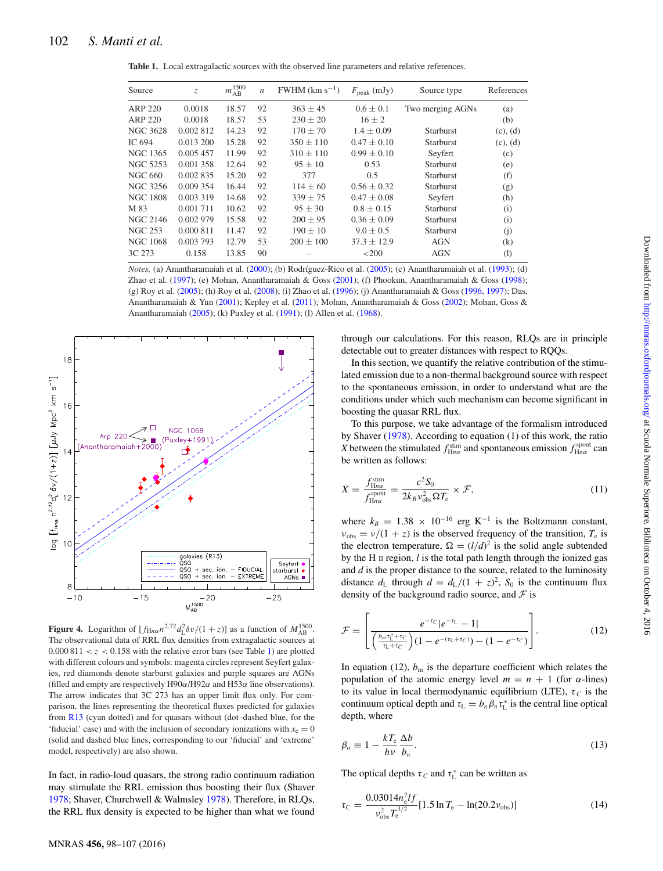<span id="page-4-0"></span>**Table 1.** Local extragalactic sources with the observed line parameters and relative references.

| Source          | $Z_{\rm c}$ | $m_{\rm AB}^{1500}$ | $\boldsymbol{n}$ | $FWHM$ (km s <sup>-1</sup> ) | $F_{\rm peak}$ (mJy) | Source type      | References                   |
|-----------------|-------------|---------------------|------------------|------------------------------|----------------------|------------------|------------------------------|
| ARP 220         | 0.0018      | 18.57               | 92               | $363 \pm 45$                 | $0.6 \pm 0.1$        | Two merging AGNs | (a)                          |
| ARP 220         | 0.0018      | 18.57               | 53               | $230 \pm 20$                 | $16 \pm 2$           |                  | (b)                          |
| <b>NGC 3628</b> | 0.002 812   | 14.23               | 92               | $170 \pm 70$                 | $1.4 \pm 0.09$       | <b>Starburst</b> | (c), (d)                     |
| IC 694          | 0.013 200   | 15.28               | 92               | $350 \pm 110$                | $0.47 \pm 0.10$      | <b>Starburst</b> | (c), (d)                     |
| <b>NGC 1365</b> | 0.005 457   | 11.99               | 92               | $310 \pm 110$                | $0.99 \pm 0.10$      | Seyfert          | (c)                          |
| NGC 5253        | 0.001 358   | 12.64               | 92               | $95 \pm 10$                  | 0.53                 | <b>Starburst</b> | (e)                          |
| NGC 660         | 0.002 835   | 15.20               | 92               | 377                          | 0.5                  | <b>Starburst</b> | (f)                          |
| NGC 3256        | 0.009 354   | 16.44               | 92               | $114 \pm 60$                 | $0.56 \pm 0.32$      | <b>Starburst</b> | (g)                          |
| <b>NGC 1808</b> | 0.003 319   | 14.68               | 92               | $339 \pm 75$                 | $0.47 \pm 0.08$      | Seyfert          | (h)                          |
| M 83            | 0.001 711   | 10.62               | 92               | $95 \pm 30$                  | $0.8 \pm 0.15$       | <b>Starburst</b> | (i)                          |
| NGC 2146        | 0.002 979   | 15.58               | 92               | $200 \pm 95$                 | $0.36 \pm 0.09$      | <b>Starburst</b> | (i)                          |
| <b>NGC 253</b>  | 0.000 811   | 11.47               | 92               | $190 \pm 10$                 | $9.0 \pm 0.5$        | Starburst        | (i)                          |
| <b>NGC 1068</b> | 0.003 793   | 12.79               | 53               | $200 \pm 100$                | $37.3 \pm 12.9$      | <b>AGN</b>       | (k)                          |
| 3C 273          | 0.158       | 13.85               | 90               |                              | ${<}200$             | <b>AGN</b>       | $\left( \frac{1}{2} \right)$ |

*Notes.* (a) Anantharamaiah et al. [\(2000\)](#page-8-48); (b) Rodríguez-Rico et al. [\(2005\)](#page-8-56); (c) Anantharamaiah et al. [\(1993\)](#page-8-47); (d) Zhao et al. [\(1997\)](#page-9-26); (e) Mohan, Anantharamaiah & Goss [\(2001\)](#page-8-51); (f) Phookun, Anantharamaiah & Goss [\(1998\)](#page-8-54); (g) Roy et al. [\(2005\)](#page-9-27); (h) Roy et al. [\(2008\)](#page-9-28); (i) Zhao et al. [\(1996\)](#page-9-25); (j) Anantharamaiah & Goss [\(1996,](#page-8-60) [1997\)](#page-8-61); Das, Anantharamaiah & Yun [\(2001\)](#page-8-49); Kepley et al. [\(2011\)](#page-8-50); Mohan, Anantharamaiah & Goss [\(2002\)](#page-8-52); Mohan, Goss & Anantharamaiah [\(2005\)](#page-8-53); (k) Puxley et al. [\(1991\)](#page-8-55); (l) Allen et al. [\(1968\)](#page-8-46).

<span id="page-4-1"></span>

**Figure 4.** Logarithm of  $[f_{\text{H}_{n\alpha}}n^{2.72}d_{\text{L}}^2\delta v/(1+z)]$  as a function of  $M_{\text{AB}}^{1500}$ . The observational data of RRL flux densities from extragalactic sources at  $0.000811 < z < 0.158$  with the relative error bars (see Table [1\)](#page-4-0) are plotted with different colours and symbols: magenta circles represent Seyfert galaxies, red diamonds denote starburst galaxies and purple squares are AGNs (filled and empty are respectively H90*α*/H92*α* and H53*α* line observations). The arrow indicates that 3C 273 has an upper limit flux only. For comparison, the lines representing the theoretical fluxes predicted for galaxies from [R13](#page-9-19) (cyan dotted) and for quasars without (dot–dashed blue, for the 'fiducial' case) and with the inclusion of secondary ionizations with  $x_e = 0$ (solid and dashed blue lines, corresponding to our 'fiducial' and 'extreme' model, respectively) are also shown.

In fact, in radio-loud quasars, the strong radio continuum radiation may stimulate the RRL emission thus boosting their flux (Shaver [1978;](#page-9-30) Shaver, Churchwell & Walmsley [1978\)](#page-9-31). Therefore, in RLQs, the RRL flux density is expected to be higher than what we found

through our calculations. For this reason, RLQs are in principle detectable out to greater distances with respect to RQQs.

In this section, we quantify the relative contribution of the stimulated emission due to a non-thermal background source with respect to the spontaneous emission, in order to understand what are the conditions under which such mechanism can become significant in boosting the quasar RRL flux.

To this purpose, we take advantage of the formalism introduced by Shaver [\(1978\)](#page-9-30). According to equation (1) of this work, the ratio *X* between the stimulated  $f_{\text{H}n\alpha}^{\text{stim}}$  and spontaneous emission  $f_{\text{H}n\alpha}^{\text{spont}}$  can be written as follows:

$$
X = \frac{f_{\text{H}na}^{\text{stim}}}{f_{\text{H}na}^{\text{spont}}} = \frac{c^2 S_0}{2k_B v_{\text{obs}}^2 \Omega T_e} \times \mathcal{F},\tag{11}
$$

where  $k_B = 1.38 \times 10^{-16}$  erg K<sup>-1</sup> is the Boltzmann constant,  $v_{\text{obs}} = v/(1 + z)$  is the observed frequency of the transition,  $T_e$  is the electron temperature,  $\Omega = (l/d)^2$  is the solid angle subtended by the H II region, *l* is the total path length through the ionized gas and *d* is the proper distance to the source, related to the luminosity distance  $d_L$  through  $d = d_L/(1 + z)^2$ ,  $S_0$  is the continuum flux density of the background radio source, and  $\mathcal F$  is

$$
\mathcal{F} = \left[ \frac{e^{-\tau_C} |e^{-\tau_L} - 1|}{\left(\frac{b_m \tau_1^* + \tau_C}{\tau_L + \tau_C}\right) (1 - e^{-(\tau_L + \tau_C)}) - (1 - e^{-\tau_C})} \right].
$$
 (12)

In equation (12),  $b_m$  is the departure coefficient which relates the population of the atomic energy level  $m = n + 1$  (for  $\alpha$ -lines) to its value in local thermodynamic equilibrium (LTE),  $\tau_c$  is the continuum optical depth and  $\tau_L = b_n \beta_n \tau_L^*$  is the central line optical depth, where

$$
\beta_n \equiv 1 - \frac{kT_e}{h\nu} \frac{\Delta b}{b_n}.\tag{13}
$$

The optical depths  $\tau_C$  and  $\tau_L^*$  can be written as

$$
\tau_C = \frac{0.03014 n_e^2 l f}{\nu_{\rm obs}^2 T_{\rm e}^{3/2}} [1.5 \ln T_{\rm e} - \ln(20.2 \nu_{\rm obs})]
$$
(14)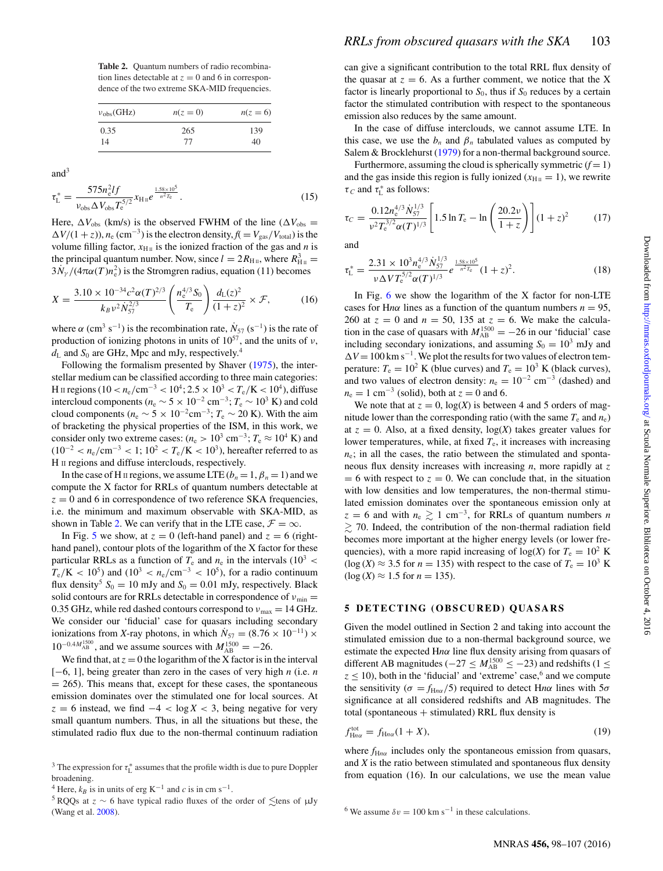<span id="page-5-0"></span>**Table 2.** Quantum numbers of radio recombination lines detectable at  $z = 0$  and 6 in correspondence of the two extreme SKA-MID frequencies.

| $v_{\rm obs}$ (GHz) | $n(z=0)$ | $n(z=6)$ |
|---------------------|----------|----------|
| 0.35                | 265      | 139      |
| 14                  | 77       | 40       |

 $and<sup>3</sup>$ 

$$
\tau_{\rm L}^* = \frac{575n_e^2 I f}{\nu_{\rm obs} \Delta V_{\rm obs} T_e^{5/2}} x_{\rm H\,u} e^{\frac{1.58 \times 10^5}{n^2 T_e}}.
$$
\n(15)

Here,  $\Delta V_{\rm obs}$  (km/s) is the observed FWHM of the line ( $\Delta V_{\rm obs}$  =  $\Delta V/(1+z)$ ,  $n_e$  (cm<sup>-3</sup>) is the electron density,  $f(V = V_{\text{gas}}/V_{\text{total}})$  is the volume filling factor,  $x_{\text{H}_{II}}$  is the ionized fraction of the gas and *n* is the principal quantum number. Now, since  $l = 2R_{\text{H}_{II}}$ , where  $R_{\text{H}_{II}}^3$  $3N_\gamma/(4\pi\alpha(T)n_e^2)$  is the Stromgren radius, equation (11) becomes

$$
X = \frac{3.10 \times 10^{-34} c^2 \alpha (T)^{2/3}}{k_B v^2 \dot{N}_{57}^{2/3}} \left(\frac{n_e^{4/3} S_0}{T_e}\right) \frac{d_L(z)^2}{(1+z)^2} \times \mathcal{F},\tag{16}
$$

where  $\alpha$  (cm<sup>3</sup> s<sup>-1</sup>) is the recombination rate,  $\dot{N}_{57}$  (s<sup>-1</sup>) is the rate of production of ionizing photons in units of 1057, and the units of *ν*,  $d_{\text{L}}$  and  $S_0$  are GHz, Mpc and mJy, respectively.<sup>4</sup>

Following the formalism presented by Shaver [\(1975\)](#page-9-32), the interstellar medium can be classified according to three main categories: H II regions (10 <  $n_e$ /cm<sup>−3</sup> < 10<sup>4</sup>; 2.5 × 10<sup>3</sup> <  $T_e$ /K < 10<sup>4</sup>), diffuse intercloud components ( $n_e$  ∼ 5 × 10<sup>-2</sup> cm<sup>-3</sup>;  $T_e$  ∼ 10<sup>3</sup> K) and cold cloud components ( $n_e \sim 5 \times 10^{-2}$ cm<sup>-3</sup>;  $T_e \sim 20$  K). With the aim of bracketing the physical properties of the ISM, in this work, we consider only two extreme cases:  $(n_e > 10^3 \text{ cm}^{-3}; T_e \approx 10^4 \text{ K})$  and  $(10^{-2} < n_e/cm^{-3} < 1$ ;  $10^2 < T_e/K < 10^3$ ), hereafter referred to as H II regions and diffuse interclouds, respectively.

In the case of H II regions, we assume LTE  $(b_n = 1, \beta_n = 1)$  and we compute the X factor for RRLs of quantum numbers detectable at  $z = 0$  and 6 in correspondence of two reference SKA frequencies, i.e. the minimum and maximum observable with SKA-MID, as shown in Table [2.](#page-5-0) We can verify that in the LTE case,  $\mathcal{F} = \infty$ .

In Fig. [5](#page-6-0) we show, at  $z = 0$  (left-hand panel) and  $z = 6$  (righthand panel), contour plots of the logarithm of the X factor for these particular RRLs as a function of  $T_e$  and  $n_e$  in the intervals (10<sup>3</sup> <  $T_e/K < 10^5$ ) and  $(10^3 < n_e/cm^{-3} < 10^5)$ , for a radio continuum flux density<sup>5</sup>  $S_0 = 10$  mJy and  $S_0 = 0.01$  mJy, respectively. Black solid contours are for RRLs detectable in correspondence of  $v_{\text{min}} =$ 0.35 GHz, while red dashed contours correspond to *ν*<sub>max</sub> = 14 GHz. We consider our 'fiducial' case for quasars including secondary ionizations from *X*-ray photons, in which  $N_{57} = (8.76 \times 10^{-11}) \times$  $10^{-0.4M_{AB}^{1500}}$ , and we assume sources with  $M_{AB}^{1500} = -26$ .

We find that, at  $z = 0$  the logarithm of the X factor is in the interval [−6, 1], being greater than zero in the cases of very high *n* (i.e. *n*  $= 265$ ). This means that, except for these cases, the spontaneous emission dominates over the stimulated one for local sources. At  $z = 6$  instead, we find  $-4 < \log X < 3$ , being negative for very small quantum numbers. Thus, in all the situations but these, the stimulated radio flux due to the non-thermal continuum radiation can give a significant contribution to the total RRL flux density of the quasar at  $z = 6$ . As a further comment, we notice that the X factor is linearly proportional to  $S_0$ , thus if  $S_0$  reduces by a certain factor the stimulated contribution with respect to the spontaneous emission also reduces by the same amount.

In the case of diffuse interclouds, we cannot assume LTE. In this case, we use the  $b_n$  and  $\beta_n$  tabulated values as computed by Salem & Brocklehurst [\(1979\)](#page-9-34) for a non-thermal background source.

Furthermore, assuming the cloud is spherically symmetric  $(f = 1)$ and the gas inside this region is fully ionized  $(x<sub>HII</sub> = 1)$ , we rewrite *τ*<sub>*C*</sub> and *τ*<sup>\*</sup><sub>*L*</sub> as follows:

$$
\tau_C = \frac{0.12 n_e^{4/3} \dot{N}_{57}^{1/3}}{\nu^2 T_e^{3/2} \alpha (T)^{1/3}} \left[ 1.5 \ln T_e - \ln \left( \frac{20.2 \nu}{1+z} \right) \right] (1+z)^2 \tag{17}
$$

and

$$
\tau_{\rm L}^* = \frac{2.31 \times 10^3 n_{\rm e}^{4/3} \dot{N}_{57}^{1/3}}{\nu \Delta V T_{\rm e}^{5/2} \alpha (T)^{1/3}} e^{\frac{1.58 \times 10^5}{n^2 T_{\rm e}}} (1+z)^2.
$$
 (18)

In Fig.  $6$  we show the logarithm of the X factor for non-LTE cases for Hn $\alpha$  lines as a function of the quantum numbers  $n = 95$ , 260 at  $z = 0$  and  $n = 50$ , 135 at  $z = 6$ . We make the calculation in the case of quasars with  $M_{AB}^{1500} = -26$  in our 'fiducial' case including secondary ionizations, and assuming  $S_0 = 10^3$  mJy and  $\Delta V$  = 100 km s<sup>-1</sup>. We plot the results for two values of electron temperature:  $T_e = 10^2$  K (blue curves) and  $T_e = 10^3$  K (black curves), and two values of electron density:  $n_e = 10^{-2}$  cm<sup>-3</sup> (dashed) and  $n_e = 1$  cm<sup>-3</sup> (solid), both at  $z = 0$  and 6.

We note that at  $z = 0$ ,  $log(X)$  is between 4 and 5 orders of magnitude lower than the corresponding ratio (with the same  $T_e$  and  $n_e$ ) at  $z = 0$ . Also, at a fixed density,  $log(X)$  takes greater values for lower temperatures, while, at fixed  $T<sub>e</sub>$ , it increases with increasing  $n_e$ ; in all the cases, the ratio between the stimulated and spontaneous flux density increases with increasing *n*, more rapidly at *z*  $= 6$  with respect to  $z = 0$ . We can conclude that, in the situation with low densities and low temperatures, the non-thermal stimulated emission dominates over the spontaneous emission only at  $z = 6$  and with  $n_e \ge 1$  cm<sup>-3</sup>, for RRLs of quantum numbers *n*  $\gtrsim$  70. Indeed, the contribution of the non-thermal radiation field becomes more important at the higher energy levels (or lower frequencies), with a more rapid increasing of  $log(X)$  for  $T_e = 10^2$  K  $(\log(X) \approx 3.5$  for  $n = 135)$  with respect to the case of  $T_e = 10^3$  K  $(\log(X) \approx 1.5 \text{ for } n = 135).$ 

#### **5 DETECTING (OBSCURED) QUASARS**

Given the model outlined in Section 2 and taking into account the stimulated emission due to a non-thermal background source, we estimate the expected H*nα* line flux density arising from quasars of different AB magnitudes ( $-27 \leq M_{AB}^{1500} \leq -23$ ) and redshifts (1 ≤  $z \leq 10$ ), both in the 'fiducial' and 'extreme' case,  $6$  and we compute the sensitivity ( $\sigma = f_{Hn\alpha}/5$ ) required to detect Hn $\alpha$  lines with  $5\sigma$ significance at all considered redshifts and AB magnitudes. The total (spontaneous  $+$  stimulated) RRL flux density is

$$
f_{\text{H}n\alpha}^{\text{tot}} = f_{\text{H}n\alpha}(1+X),\tag{19}
$$

where  $f_{\text{H}_{n\alpha}}$  includes only the spontaneous emission from quasars, and *X* is the ratio between stimulated and spontaneous flux density from equation (16). In our calculations, we use the mean value

<sup>6</sup> We assume  $\delta v = 100$  km s<sup>-1</sup> in these calculations.

<sup>&</sup>lt;sup>3</sup> The expression for  $\tau_L^*$  assumes that the profile width is due to pure Doppler broadening.

<sup>&</sup>lt;sup>4</sup> Here,  $k_B$  is in units of erg K<sup>-1</sup> and *c* is in cm s<sup>-1</sup>.

<sup>&</sup>lt;sup>5</sup> RQQs at  $z \sim 6$  have typical radio fluxes of the order of  $\le$ tens of  $\mu$ Jy (Wang et al. [2008\)](#page-9-33).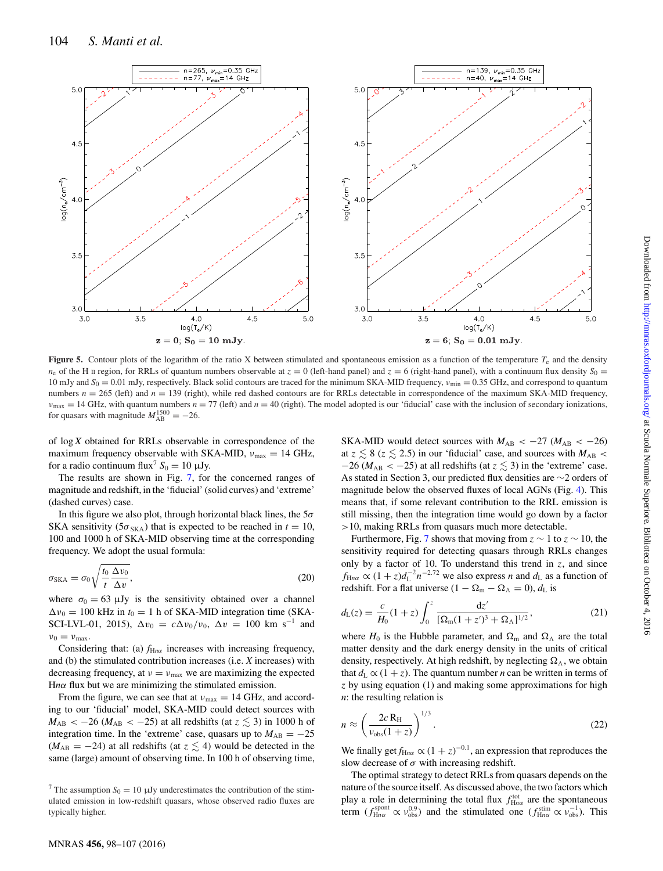<span id="page-6-0"></span>

**Figure 5.** Contour plots of the logarithm of the ratio X between stimulated and spontaneous emission as a function of the temperature  $T_e$  and the density  $n_e$  of the H II region, for RRLs of quantum numbers observable at  $z = 0$  (left-hand panel) and  $z = 6$  (right-hand panel), with a continuum flux density  $S_0$ 10 mJy and *S*<sub>0</sub> = 0.01 mJy, respectively. Black solid contours are traced for the minimum SKA-MID frequency,  $v_{\text{min}} = 0.35$  GHz, and correspond to quantum numbers  $n = 265$  (left) and  $n = 139$  (right), while red dashed contours are for RRLs detectable in correspondence of the maximum SKA-MID frequency,  $v_{\text{max}} = 14 \text{ GHz}$ , with quantum numbers  $n = 77$  (left) and  $n = 40$  (right). The model adopted is our 'fiducial' case with the inclusion of secondary ionizations, for quasars with magnitude  $M_{AB}^{1500} = -26$ .

of log *X* obtained for RRLs observable in correspondence of the maximum frequency observable with SKA-MID,  $v_{\text{max}} = 14 \text{ GHz}$ , for a radio continuum flux<sup>7</sup>  $S_0 = 10 \mu Jy$ .

The results are shown in Fig. [7,](#page-7-1) for the concerned ranges of magnitude and redshift, in the 'fiducial' (solid curves) and 'extreme' (dashed curves) case.

In this figure we also plot, through horizontal black lines, the 5*σ* SKA sensitivity ( $5\sigma_{SKA}$ ) that is expected to be reached in  $t = 10$ , 100 and 1000 h of SKA-MID observing time at the corresponding frequency. We adopt the usual formula:

$$
\sigma_{\text{SKA}} = \sigma_0 \sqrt{\frac{t_0 \Delta v_0}{t \Delta v}},\tag{20}
$$

where  $\sigma_0 = 63 \mu Jy$  is the sensitivity obtained over a channel  $\Delta v_0 = 100$  kHz in  $t_0 = 1$  h of SKA-MID integration time (SKA-SCI-LVL-01, 2015),  $\Delta v_0 = c \Delta v_0 / v_0$ ,  $\Delta v = 100$  km s<sup>-1</sup> and  $\nu_0 = \nu_{\text{max}}$ .

Considering that: (a)  $f_{\text{H}nα}$  increases with increasing frequency, and (b) the stimulated contribution increases (i.e. *X* increases) with decreasing frequency, at  $v = v_{\text{max}}$  we are maximizing the expected H*nα* flux but we are minimizing the stimulated emission.

From the figure, we can see that at  $v_{\text{max}} = 14$  GHz, and according to our 'fiducial' model, SKA-MID could detect sources with  $M_{AB} < -26$  ( $M_{AB} < -25$ ) at all redshifts (at  $z \lesssim 3$ ) in 1000 h of integration time. In the 'extreme' case, quasars up to  $M_{AB} = -25$  $(M_{AB} = -24)$  at all redshifts (at  $z \lesssim 4$ ) would be detected in the same (large) amount of observing time. In 100 h of observing time, SKA-MID would detect sources with  $M_{AB} < -27$  ( $M_{AB} < -26$ ) at  $z \lesssim 8$  ( $z \lesssim 2.5$ ) in our 'fiducial' case, and sources with  $M_{AB}$  $-26$  ( $M_{AB} < -25$ ) at all redshifts (at  $z \lesssim 3$ ) in the 'extreme' case. As stated in Section 3, our predicted flux densities are ∼2 orders of magnitude below the observed fluxes of local AGNs (Fig. [4\)](#page-4-1). This means that, if some relevant contribution to the RRL emission is still missing, then the integration time would go down by a factor *>*10, making RRLs from quasars much more detectable.

Furthermore, Fig. [7](#page-7-1) shows that moving from  $z \sim 1$  to  $z \sim 10$ , the sensitivity required for detecting quasars through RRLs changes only by a factor of 10. To understand this trend in *z*, and since  $f_{\text{H}n\alpha} \propto (1+z)d_{\text{L}}^{-2}n^{-2.72}$  we also express *n* and  $d_{\text{L}}$  as a function of redshift. For a flat universe  $(1 - \Omega_m - \Omega_\Lambda = 0)$ ,  $d_L$  is

$$
d_{\rm L}(z) = \frac{c}{H_0} (1+z) \int_0^z \frac{\mathrm{d}z'}{[\Omega_{\rm m}(1+z')^3 + \Omega_{\Lambda}]^{1/2}},\tag{21}
$$

where  $H_0$  is the Hubble parameter, and  $\Omega_m$  and  $\Omega_{\Lambda}$  are the total matter density and the dark energy density in the units of critical density, respectively. At high redshift, by neglecting  $\Omega_{\Lambda}$ , we obtain that  $d_L \propto (1 + z)$ . The quantum number *n* can be written in terms of *z* by using equation (1) and making some approximations for high *n*: the resulting relation is

$$
n \approx \left(\frac{2c \,\mathrm{R}_{\mathrm{H}}}{v_{\mathrm{obs}}(1+z)}\right)^{1/3}.\tag{22}
$$

We finally get  $f_{\text{H}_{n\alpha}} \propto (1+z)^{-0.1}$ , an expression that reproduces the slow decrease of  $\sigma$  with increasing redshift.

The optima[l](#page-7-0) strategy to detect RRLs from quasars depends on the nature of the source itself. As discussed above, the two factors which play a role in determining the total flux  $f_{Hnα}^{\text{tot}}$  are the spontaneous term  $(f_{\text{H}n\alpha}^{\text{spont}} \propto \nu_{\text{obs}}^{0.9})$  and the stimulated one  $(f_{\text{H}n\alpha}^{\text{sim}} \propto \nu_{\text{obs}}^{-1})$ . This

<sup>&</sup>lt;sup>7</sup> The assumption  $S_0 = 10 \mu Jy$  underestimates the contribution of the stimulated emission in low-redshift quasars, whose observed radio fluxes are typically higher.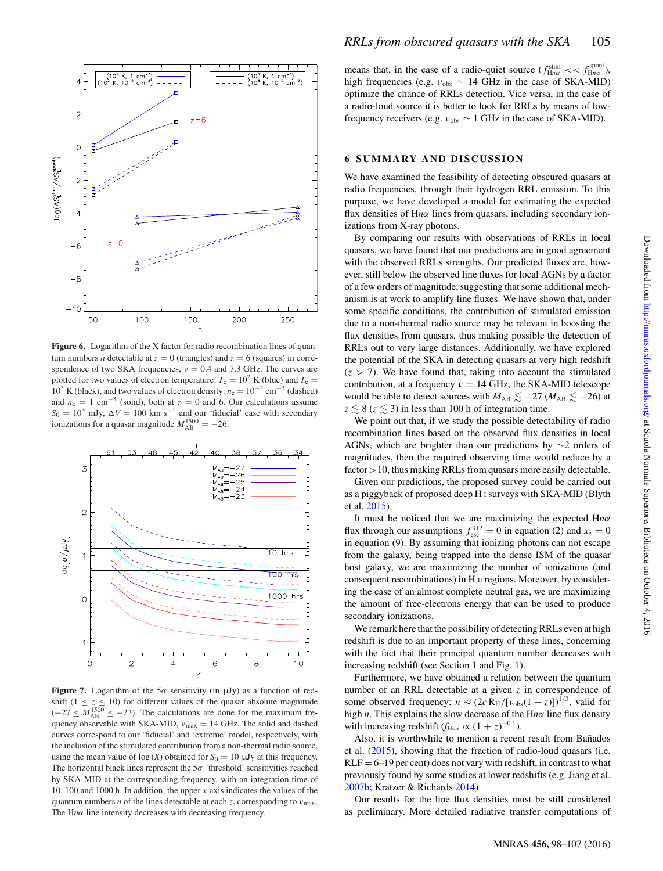<span id="page-7-0"></span>

Figure 6. Logarithm of the X factor for radio recombination lines of quantum numbers *n* detectable at  $z = 0$  (triangles) and  $z = 6$  (squares) in correspondence of two SKA frequencies,  $v = 0.4$  and 7.3 GHz. The curves are plotted for two values of electron temperature:  $T_e = 10^2$  K (blue) and  $T_e =$ <sup>10</sup><sup>3</sup> K (black), and two values of electron density: *<sup>n</sup>*<sup>e</sup> <sup>=</sup> <sup>10</sup>−<sup>2</sup> cm−<sup>3</sup> (dashed) and  $n_e = 1$  cm<sup>-3</sup> (solid), both at  $z = 0$  and 6. Our calculations assume  $S_0 = 10^3$  mJy,  $\Delta V = 100$  km s<sup>-1</sup> and our 'fiducial' case with secondary ionizations for a quasar magnitude  $M_{AB}^{1500} = -26$ .

<span id="page-7-1"></span>

**Figure 7.** Logarithm of the  $5\sigma$  sensitivity (in  $\mu Jy$ ) as a function of redshift  $(1 \le z \le 10)$  for different values of the quasar absolute magnitude  $(-27 \leq M_{AB}^{1500} \leq -23)$ . The calculations are done for the maximum frequency observable with SKA-MID,  $ν_{\text{max}} = 14 \text{ GHz}$ . The solid and dashed curves correspond to our 'fiducial' and 'extreme' model, respectively, with the inclusion of the stimulated contribution from a non-thermal radio source, using the mean value of  $log(X)$  obtained for  $S_0 = 10 \mu Jy$  at this frequency. The horizontal black lines represent the 5*σ* 'threshold' sensitivities reached by SKA-MID at the corresponding frequency, with an integration time of 10, 100 and 1000 h. In addition, the upper *x*-axis indicates the values of the quantum numbers *n* of the lines detectable at each *z*, corresponding to  $v_{\text{max}}$ . The H*nα* line intensity decreases with decreasing frequency.

means that, in the case of a radio-quiet source  $(f_{\text{H}na}^{\text{stim}} \ll f_{\text{H}na}^{\text{spont}})$ , high frequencies (e.g. *<sup>ν</sup>*obs <sup>∼</sup> 14 GHz in the case of SKA-MID) optimize the chance of RRLs detection. Vice versa, in the case of a radio-loud source it is better to look for RRLs by means of lowfrequency receivers (e.g.  $v_{obs} \sim 1$  GHz in the case of SKA-MID).

### **6 SUMMARY AND DISCUSSION**

We have examined the feasibility of detecting obscured quasars at radio frequencies, through their hydrogen RRL emission. To this purpose, we have developed a model for estimating the expected flux densities of H*nα* lines from quasars, including secondary ionizations from X-ray photons.

By comparing our results with observations of RRLs in local quasars, we have found that our predictions are in good agreement with the observed RRLs strengths. Our predicted fluxes are, however, still below the observed line fluxes for local AGNs by a factor of a few orders of magnitude, suggesting that some additional mechanism is at work to amplify line fluxes. We have shown that, under some specific conditions, the contribution of stimulated emission due to a non-thermal radio source may be relevant in boosting the flux densities from quasars, thus making possible the detection of RRLs out to very large distances. Additionally, we have explored the potential of the SKA in detecting quasars at very high redshift  $(z > 7)$ . We have found that, taking into account the stimulated contribution, at a frequency *<sup>ν</sup>* <sup>=</sup> 14 GHz, the SKA-MID telescope would be able to detect sources with  $M_{AB} \lesssim -27$  ( $M_{AB} \lesssim -26$ ) at  $z \lesssim 8$  ( $z \lesssim 3$ ) in less than 100 h of integration time.

We point out that, if we study the possible detectability of radio recombination lines based on the observed flux densities in local AGNs, which are brighter than our predictions by ∼2 orders of magnitudes, then the required observing time would reduce by a factor *>*10, thus making RRLs from quasars more easily detectable.

Given our predictions, the proposed survey could be carried out as a piggyback of proposed deep H <sup>I</sup> surveys with SKA-MID (Blyth et al. [2015\)](#page-8-62).

It must be noticed that we are maximizing the expected H*nα* flux through our assumptions  $f_{\text{esc}}^{912} = 0$  in equation (2) and  $x_e = 0$ in equation (9). By assuming that ionizing photons can not escape from the galaxy, being trapped into the dense ISM of the quasar host galaxy, we are maximizing the number of ionizations (and consequent recombinations) in H II regions. Moreover, by considering the case of an almost complete neutral gas, we are maximizing the amount of free-electrons energy that can be used to produce secondary ionizations.

We remark here that the possibility of detecting RRLs even at high redshift is due to an important property of these lines, concerning with the fact that their principal quantum number decreases with increasing redshift (see Section 1 and Fig. [1\)](#page-1-0).

Furthermore, we have obtained a relation between the quantum number of an RRL detectable at a given *z* in correspondence of some observed frequency:  $n \approx (2c R_H/[\nu_{obs}(1+z)])^{1/3}$ , valid for high *n*. This explains the slow decrease of the H*nα* line flux density with increasing redshift  $(f_{Hn\alpha} \propto (1+z)^{-0.1})$ .

Also, it is worthwhile to mention a recent result from Bañados et al.  $(2015)$ , showing that the fraction of radio-loud quasars (i.e.  $RLF = 6-19$  per cent) does not vary with redshift, in contrast to what previously found by some studies at lower redshifts (e.g. Jiang et al. [2007b;](#page-8-64) Kratzer & Richards [2014\)](#page-8-65).

Our results for the line flux densities must be still considered as preliminary. More detailed radiative transfer computations of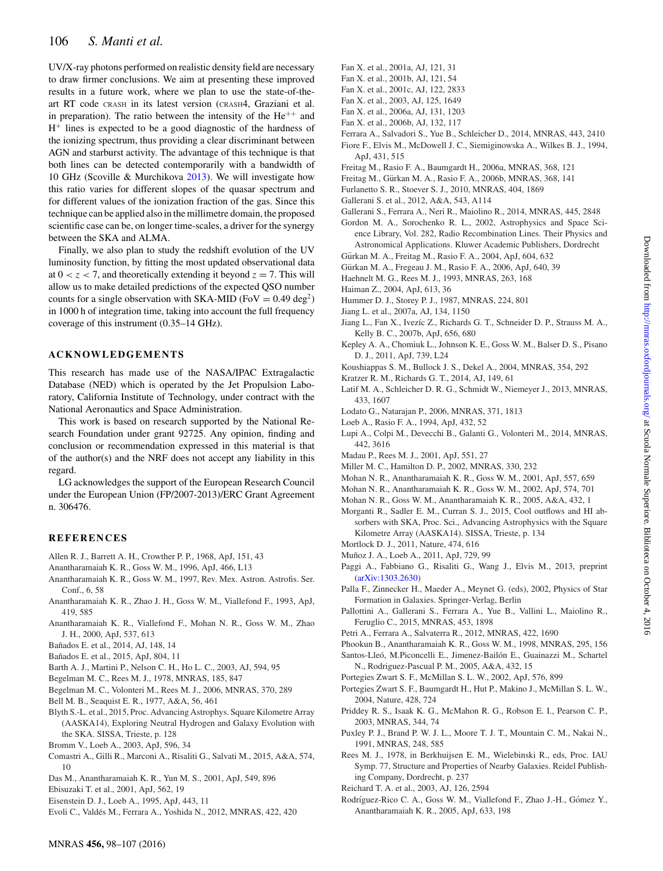# 106 *S. Manti et al.*

UV/X-ray photons performed on realistic density field are necessary to draw firmer conclusions. We aim at presenting these improved results in a future work, where we plan to use the state-of-theart RT code CRASH in its latest version (CRASH4, Graziani et al. in preparation). The ratio between the intensity of the  $He^{++}$  and  $H<sup>+</sup>$  lines is expected to be a good diagnostic of the hardness of the ionizing spectrum, thus providing a clear discriminant between AGN and starburst activity. The advantage of this technique is that both lines can be detected contemporarily with a bandwidth of 10 GHz (Scoville & Murchikova [2013\)](#page-9-35). We will investigate how this ratio varies for different slopes of the quasar spectrum and for different values of the ionization fraction of the gas. Since this technique can be applied also in the millimetre domain, the proposed scientific case can be, on longer time-scales, a driver for the synergy between the SKA and ALMA.

Finally, we also plan to study the redshift evolution of the UV luminosity function, by fitting the most updated observational data at  $0 < z < 7$ , and theoretically extending it beyond  $z = 7$ . This will allow us to make detailed predictions of the expected QSO number counts for a single observation with SKA-MID (FoV =  $0.49 \text{ deg}^2$ ) in 1000 h of integration time, taking into account the full frequency coverage of this instrument (0.35–14 GHz).

#### **ACKNOWLEDGEMENTS**

This research has made use of the NASA/IPAC Extragalactic Database (NED) which is operated by the Jet Propulsion Laboratory, California Institute of Technology, under contract with the National Aeronautics and Space Administration.

This work is based on research supported by the National Research Foundation under grant 92725. Any opinion, finding and conclusion or recommendation expressed in this material is that of the author(s) and the NRF does not accept any liability in this regard.

LG acknowledges the support of the European Research Council under the European Union (FP/2007-2013)/ERC Grant Agreement n. 306476.

## **REFERENCES**

- <span id="page-8-46"></span>Allen R. J., Barrett A. H., Crowther P. P., 1968, ApJ, 151, 43
- <span id="page-8-60"></span>Anantharamaiah K. R., Goss W. M., 1996, ApJ, 466, L13
- <span id="page-8-61"></span>Anantharamaiah K. R., Goss W. M., 1997, Rev. Mex. Astron. Astrofis. Ser. Conf., 6, 58
- <span id="page-8-47"></span>Anantharamaiah K. R., Zhao J. H., Goss W. M., Viallefond F., 1993, ApJ, 419, 585
- <span id="page-8-48"></span>Anantharamaiah K. R., Viallefond F., Mohan N. R., Goss W. M., Zhao J. H., 2000, ApJ, 537, 613
- <span id="page-8-6"></span>Bañados E. et al., 2014, AJ, 148, 14
- <span id="page-8-63"></span>Bañados E. et al., 2015, ApJ, 804, 11
- <span id="page-8-7"></span>Barth A. J., Martini P., Nelson C. H., Ho L. C., 2003, AJ, 594, 95
- <span id="page-8-24"></span>Begelman M. C., Rees M. J., 1978, MNRAS, 185, 847
- <span id="page-8-22"></span>Begelman M. C., Volonteri M., Rees M. J., 2006, MNRAS, 370, 289
- <span id="page-8-59"></span>Bell M. B., Seaquist E. R., 1977, A&A, 56, 461
- <span id="page-8-62"></span>Blyth S.-L. et al., 2015, Proc. Advancing Astrophys. Square Kilometre Array (AASKA14), Exploring Neutral Hydrogen and Galaxy Evolution with the SKA. SISSA, Trieste, p. 128
- <span id="page-8-20"></span>Bromm V., Loeb A., 2003, ApJ, 596, 34
- <span id="page-8-35"></span>Comastri A., Gilli R., Marconi A., Risaliti G., Salvati M., 2015, A&A, 574, 10
- <span id="page-8-49"></span>Das M., Anantharamaiah K. R., Yun M. S., 2001, ApJ, 549, 896
- <span id="page-8-25"></span>Ebisuzaki T. et al., 2001, ApJ, 562, 19
- <span id="page-8-19"></span>Eisenstein D. J., Loeb A., 1995, ApJ, 443, 11
- <span id="page-8-45"></span>Evoli C., Valdés M., Ferrara A., Yoshida N., 2012, MNRAS, 422, 420
- <span id="page-8-0"></span>Fan X. et al., 2001a, AJ, 121, 31
- <span id="page-8-1"></span>Fan X. et al., 2001b, AJ, 121, 54
- <span id="page-8-2"></span>Fan X. et al., 2001c, AJ, 122, 2833
- <span id="page-8-3"></span>Fan X. et al., 2003, AJ, 125, 1649
- <span id="page-8-4"></span>Fan X. et al., 2006a, AJ, 131, 1203
- <span id="page-8-5"></span>Fan X. et al., 2006b, AJ, 132, 117
- <span id="page-8-42"></span><span id="page-8-33"></span>Ferrara A., Salvadori S., Yue B., Schleicher D., 2014, MNRAS, 443, 2410 Fiore F., Elvis M., McDowell J. C., Siemiginowska A., Wilkes B. J., 1994,
- ApJ, 431, 515
- <span id="page-8-30"></span>Freitag M., Rasio F. A., Baumgardt H., 2006a, MNRAS, 368, 121
- <span id="page-8-31"></span>Freitag M., Gurkan M. A., Rasio F. A., 2006b, MNRAS, 368, 141 ¨ Furlanetto S. R., Stoever S. J., 2010, MNRAS, 404, 1869
- <span id="page-8-44"></span><span id="page-8-36"></span>Gallerani S. et al., 2012, A&A, 543, A114
- <span id="page-8-37"></span>Gallerani S., Ferrara A., Neri R., Maiolino R., 2014, MNRAS, 445, 2848
- <span id="page-8-38"></span>Gordon M. A., Sorochenko R. L., 2002, Astrophysics and Space Science Library, Vol. 282, Radio Recombination Lines. Their Physics and Astronomical Applications. Kluwer Academic Publishers, Dordrecht
- <span id="page-8-29"></span>Gürkan M. A., Freitag M., Rasio F. A., 2004, ApJ, 604, 632
- Gurkan M. A., Fregeau J. M., Rasio F. A., 2006, ApJ, 640, 39 ¨
- <span id="page-8-17"></span>Haehnelt M. G., Rees M. J., 1993, MNRAS, 263, 168
- <span id="page-8-11"></span>Haiman Z., 2004, ApJ, 613, 36
- <span id="page-8-40"></span>Hummer D. J., Storey P. J., 1987, MNRAS, 224, 801
- <span id="page-8-9"></span>Jiang L. et al., 2007a, AJ, 134, 1150
- <span id="page-8-64"></span>Jiang L., Fan X., Ivezíc Z., Richards G. T., Schneider D. P., Strauss M. A., Kelly B. C., 2007b, ApJ, 656, 680
- <span id="page-8-50"></span>Kepley A. A., Chomiuk L., Johnson K. E., Goss W. M., Balser D. S., Pisano D. J., 2011, ApJ, 739, L24
- <span id="page-8-21"></span>Koushiappas S. M., Bullock J. S., Dekel A., 2004, MNRAS, 354, 292
- <span id="page-8-65"></span>Kratzer R. M., Richards G. T., 2014, AJ, 149, 61
- <span id="page-8-14"></span>Latif M. A., Schleicher D. R. G., Schmidt W., Niemeyer J., 2013, MNRAS, 433, 1607
- <span id="page-8-23"></span>Lodato G., Natarajan P., 2006, MNRAS, 371, 1813
- <span id="page-8-18"></span>Loeb A., Rasio F. A., 1994, ApJ, 432, 52
- <span id="page-8-12"></span>Lupi A., Colpi M., Devecchi B., Galanti G., Volonteri M., 2014, MNRAS, 442, 3616
- <span id="page-8-15"></span>Madau P., Rees M. J., 2001, ApJ, 551, 27
- <span id="page-8-26"></span>Miller M. C., Hamilton D. P., 2002, MNRAS, 330, 232
- <span id="page-8-51"></span>Mohan N. R., Anantharamaiah K. R., Goss W. M., 2001, ApJ, 557, 659
- <span id="page-8-52"></span>Mohan N. R., Anantharamaiah K. R., Goss W. M., 2002, ApJ, 574, 701
- <span id="page-8-53"></span>Mohan N. R., Goss W. M., Anantharamaiah K. R., 2005, A&A, 432, 1
- <span id="page-8-39"></span>Morganti R., Sadler E. M., Curran S. J., 2015, Cool outflows and HI absorbers with SKA, Proc. Sci., Advancing Astrophysics with the Square Kilometre Array (AASKA14). SISSA, Trieste, p. 134
- <span id="page-8-10"></span>Mortlock D. J., 2011, Nature, 474, 616
- <span id="page-8-58"></span>Muñoz J. A., Loeb A., 2011, ApJ, 729, 99
- <span id="page-8-57"></span>Paggi A., Fabbiano G., Risaliti G., Wang J., Elvis M., 2013, preprint [\(arXiv:1303.2630\)](http://arxiv.org/abs/1303.2630)
- <span id="page-8-16"></span>Palla F., Zinnecker H., Maeder A., Meynet G. (eds), 2002, Physics of Star Formation in Galaxies. Springer-Verlag, Berlin
- <span id="page-8-34"></span>Pallottini A., Gallerani S., Ferrara A., Yue B., Vallini L., Maiolino R., Feruglio C., 2015, MNRAS, 453, 1898
- <span id="page-8-32"></span>Petri A., Ferrara A., Salvaterra R., 2012, MNRAS, 422, 1690
- <span id="page-8-54"></span>Phookun B., Anantharamaiah K. R., Goss W. M., 1998, MNRAS, 295, 156
- <span id="page-8-41"></span>Santos-Lleó, M.Piconcelli E., Jimenez-Bailón E., Guainazzi M., Schartel N., Rodriguez-Pascual P. M., 2005, A&A, 432, 15
- <span id="page-8-27"></span>Portegies Zwart S. F., McMillan S. L. W., 2002, ApJ, 576, 899
- <span id="page-8-28"></span>Portegies Zwart S. F., Baumgardt H., Hut P., Makino J., McMillan S. L. W., 2004, Nature, 428, 724
- <span id="page-8-8"></span>Priddey R. S., Isaak K. G., McMahon R. G., Robson E. I., Pearson C. P., 2003, MNRAS, 344, 74
- <span id="page-8-55"></span>Puxley P. J., Brand P. W. J. L., Moore T. J. T., Mountain C. M., Nakai N., 1991, MNRAS, 248, 585
- <span id="page-8-13"></span>Rees M. J., 1978, in Berkhuijsen E. M., Wielebinski R., eds, Proc. IAU Symp. 77, Structure and Properties of Nearby Galaxies. Reidel Publishing Company, Dordrecht, p. 237
- <span id="page-8-43"></span>Reichard T. A. et al., 2003, AJ, 126, 2594
- <span id="page-8-56"></span>Rodríguez-Rico C. A., Goss W. M., Viallefond F., Zhao J.-H., Gómez Y., Anantharamaiah K. R., 2005, ApJ, 633, 198